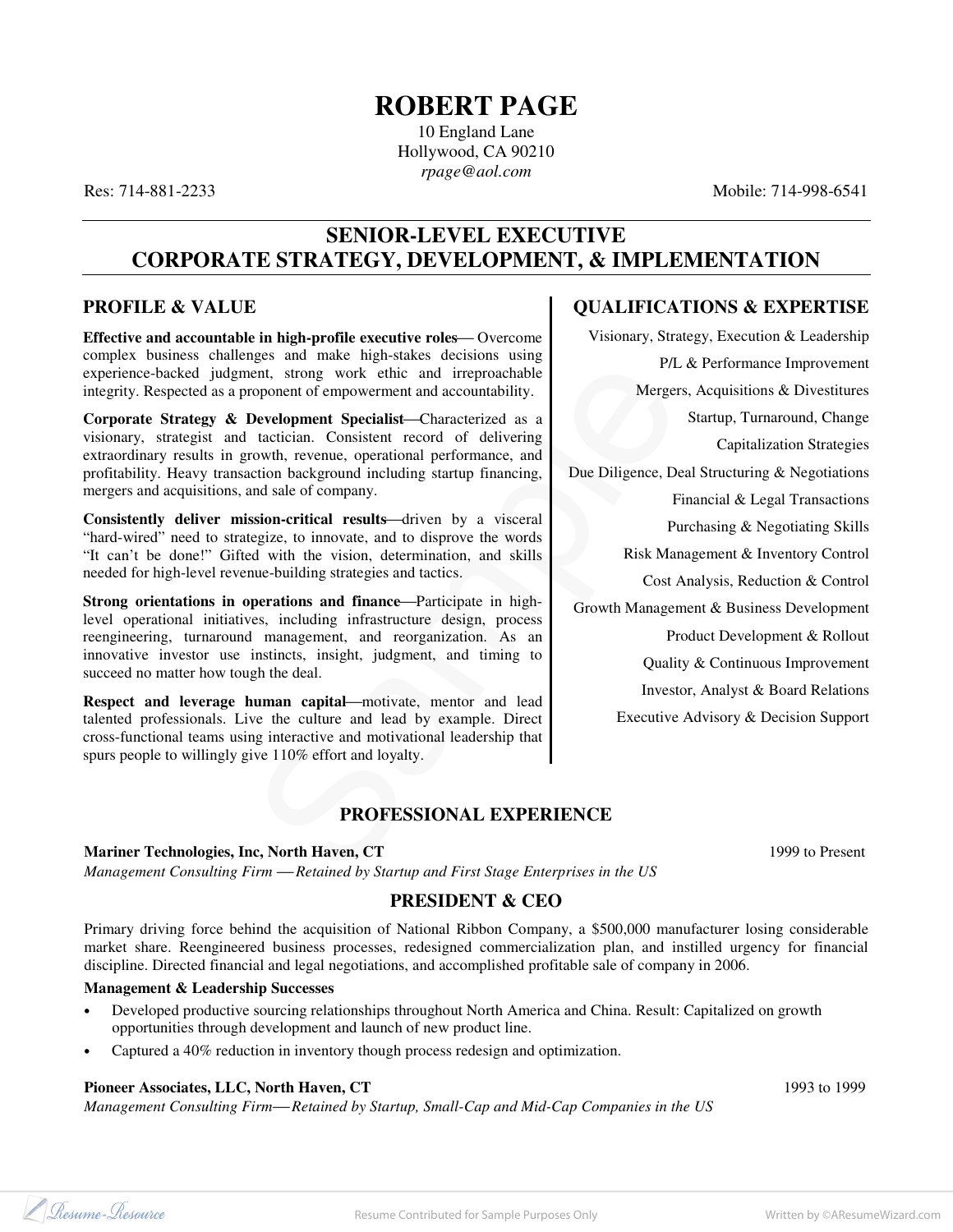## **ROBERT PAGE**

10 England Lane Hollywood, CA 90210 *rpage@aol.com* 

Res: 714-881-2233 Mobile: 714-998-6541

## **SENIOR-LEVEL EXECUTIVE CORPORATE STRATEGY, DEVELOPMENT, & IMPLEMENTATION**

## **PROFILE & VALUE**

**Effective and accountable in high-profile executive roles-** Overcome complex business challenges and make high-stakes decisions using experience-backed judgment, strong work ethic and irreproachable integrity. Respected as a proponent of empowerment and accountability.

**Corporate Strategy & Development Specialist-Characterized as a** visionary, strategist and tactician. Consistent record of delivering extraordinary results in growth, revenue, operational performance, and profitability. Heavy transaction background including startup financing, mergers and acquisitions, and sale of company.

**Consistently deliver mission-critical results—driven by a visceral** "hard-wired" need to strategize, to innovate, and to disprove the words "It can't be done!" Gifted with the vision, determination, and skills needed for high-level revenue-building strategies and tactics.

**Strong orientations in operations and finance—Participate in high**level operational initiatives, including infrastructure design, process reengineering, turnaround management, and reorganization. As an innovative investor use instincts, insight, judgment, and timing to succeed no matter how tough the deal.

**Respect and leverage human capital—motivate, mentor and lead** talented professionals. Live the culture and lead by example. Direct cross-functional teams using interactive and motivational leadership that spurs people to willingly give 110% effort and loyalty.

## **QUALIFICATIONS & EXPERTISE**

Example the control in the and inteproducible<br>
Sample P/L & Performance Im<br>
Sample P/L & Performance Im<br>
Sample P/L & Performance Im<br>
Sample P/L & Performance Im<br>
Sample The Recalister Conditions & L<br>
Sample, and to dispre Visionary, Strategy, Execution & Leadership P/L & Performance Improvement Mergers, Acquisitions & Divestitures Startup, Turnaround, Change Capitalization Strategies Due Diligence, Deal Structuring & Negotiations Financial & Legal Transactions Purchasing & Negotiating Skills Risk Management & Inventory Control Cost Analysis, Reduction & Control Growth Management & Business Development Product Development & Rollout Quality & Continuous Improvement Investor, Analyst & Board Relations Executive Advisory & Decision Support

## **PROFESSIONAL EXPERIENCE**

#### **Mariner Technologies, Inc, North Haven, CT** 1999 to Present

*Management Consulting Firm Retained by Startup and First Stage Enterprises in the US* 

## **PRESIDENT & CEO**

Primary driving force behind the acquisition of National Ribbon Company, a \$500,000 manufacturer losing considerable market share. Reengineered business processes, redesigned commercialization plan, and instilled urgency for financial discipline. Directed financial and legal negotiations, and accomplished profitable sale of company in 2006.

#### **Management & Leadership Successes**

- Developed productive sourcing relationships throughout North America and China. Result: Capitalized on growth opportunities through development and launch of new product line.
- Captured a 40% reduction in inventory though process redesign and optimization.

#### **Pioneer Associates, LLC, North Haven, CT** 1993 to 1999

*Management Consulting Firm—Retained by Startup, Small-Cap and Mid-Cap Companies in the US* 

Resume-Resource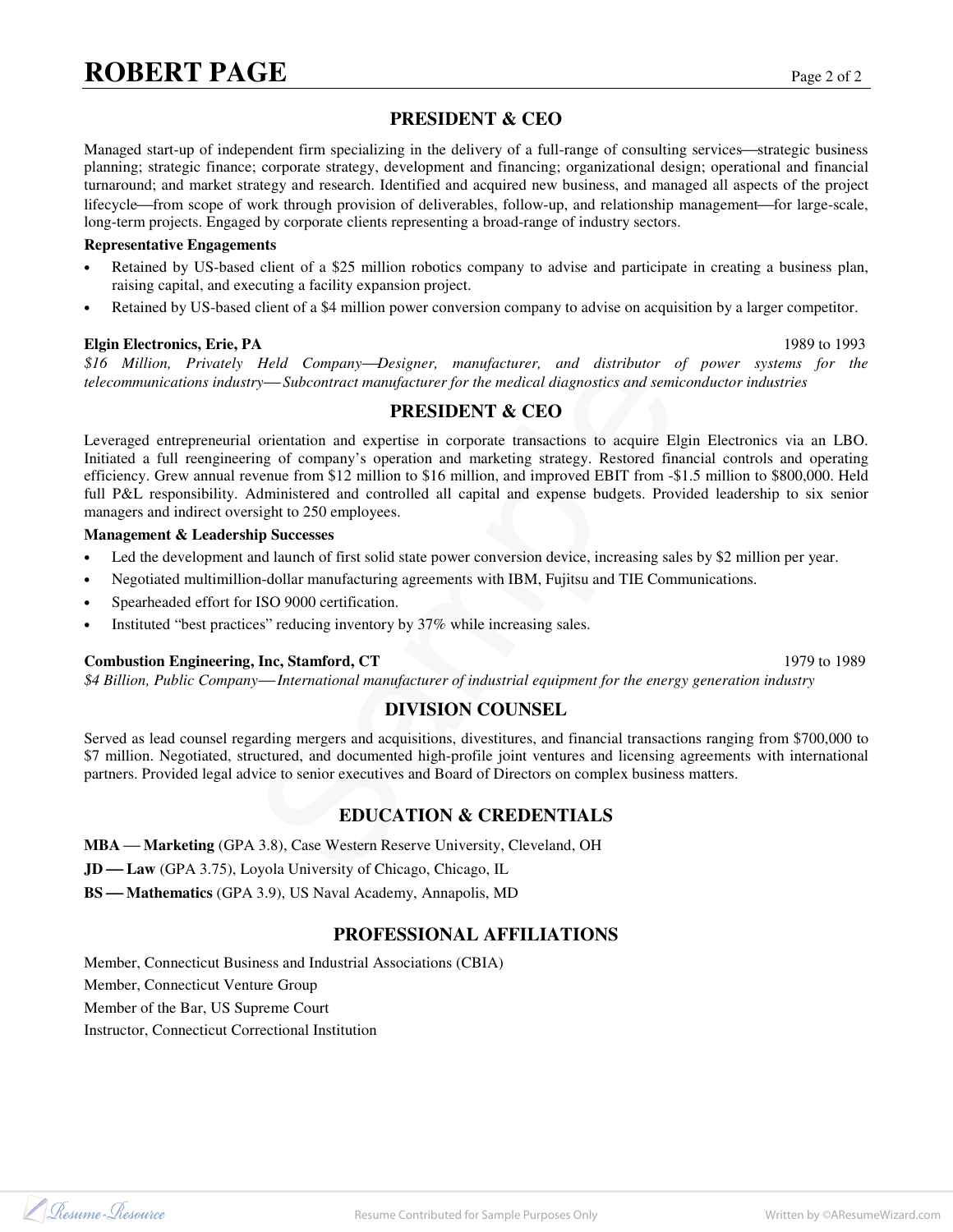## **PRESIDENT & CEO**

Managed start-up of independent firm specializing in the delivery of a full-range of consulting services—strategic business planning; strategic finance; corporate strategy, development and financing; organizational design; operational and financial turnaround; and market strategy and research. Identified and acquired new business, and managed all aspects of the project lifecycle—from scope of work through provision of deliverables, follow-up, and relationship management—for large-scale, long-term projects. Engaged by corporate clients representing a broad-range of industry sectors.

#### **Representative Engagements**

- Retained by US-based client of a \$25 million robotics company to advise and participate in creating a business plan, raising capital, and executing a facility expansion project.
- Retained by US-based client of a \$4 million power conversion company to advise on acquisition by a larger competitor.

#### **Elgin Electronics, Erie, PA** 1989 to 1993

*\$16 Million, Privately Held CompanyDesigner, manufacturer, and distributor of power systems for the telecommunications industry—Subcontract manufacturer for the medical diagnostics and semiconductor industries* 

## **PRESIDENT & CEO**

*Held Company—Besigner, manufacturer and distributor of power systems*<br> *PRESIDENT axCEO*<br>
criterianization and expertise in corporate transactions to acquire Elgin Electronics via<br>
ing of company's operation and marketing Leveraged entrepreneurial orientation and expertise in corporate transactions to acquire Elgin Electronics via an LBO. Initiated a full reengineering of company's operation and marketing strategy. Restored financial controls and operating efficiency. Grew annual revenue from \$12 million to \$16 million, and improved EBIT from -\$1.5 million to \$800,000. Held full P&L responsibility. Administered and controlled all capital and expense budgets. Provided leadership to six senior managers and indirect oversight to 250 employees.

#### **Management & Leadership Successes**

- Led the development and launch of first solid state power conversion device, increasing sales by \$2 million per year.
- Negotiated multimillion-dollar manufacturing agreements with IBM, Fujitsu and TIE Communications.
- Spearheaded effort for ISO 9000 certification.
- Instituted "best practices" reducing inventory by 37% while increasing sales.

#### **Combustion Engineering, Inc, Stamford, CT** 1989

*\$4 Billion, Public Company International manufacturer of industrial equipment for the energy generation industry* 

#### **DIVISION COUNSEL**

Served as lead counsel regarding mergers and acquisitions, divestitures, and financial transactions ranging from \$700,000 to \$7 million. Negotiated, structured, and documented high-profile joint ventures and licensing agreements with international partners. Provided legal advice to senior executives and Board of Directors on complex business matters.

### **EDUCATION & CREDENTIALS**

**MBA** — Marketing (GPA 3.8), Case Western Reserve University, Cleveland, OH

JD-Law (GPA 3.75), Loyola University of Chicago, Chicago, IL

**BS** — Mathematics (GPA 3.9), US Naval Academy, Annapolis, MD

#### **PROFESSIONAL AFFILIATIONS**

Member, Connecticut Business and Industrial Associations (CBIA) Member, Connecticut Venture Group Member of the Bar, US Supreme Court Instructor, Connecticut Correctional Institution